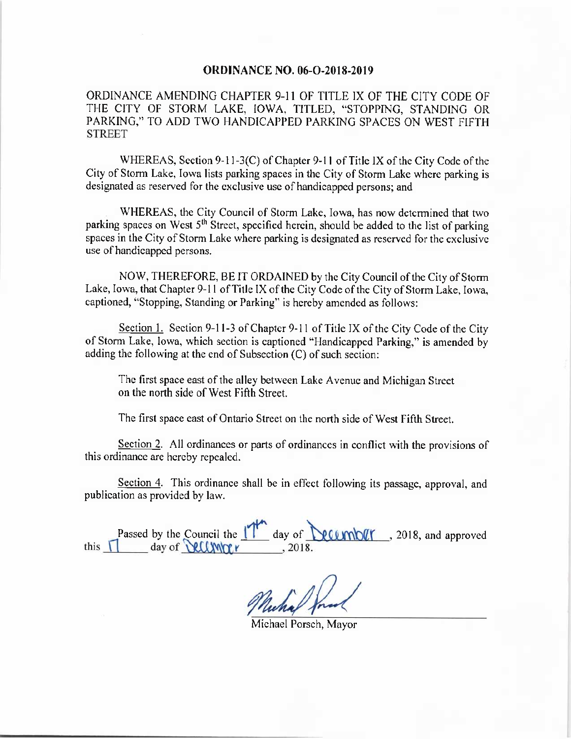## ORDINANCE NO. 06-0-2018-2019

ORDINANCE AMENDING CHAPTER 9-11 OF TITLE IX OF THE CITY CODE OF THE CITY OF STORM LAKE, IOWA, TITLED, "STOPPING, STANDING OR PARKING," TO ADD TWO HANDICAPPED PARKING SPACES ON WEST FIFTH **STREET** 

WHEREAS, Section 9-11-3(C) of Chapter 9-11 of Title IX of the City Code of the City of Storm Lake, Iowa lists parking spaces in the City of Storm Lake where parking is designated as reserved for the exclusive use of handicapped persons; and

WHEREAS, the City Council of Storm Lake, Iowa, has now determined that two parking spaces on West 5<sup>th</sup> Street, specified herein, should be added to the list of parking spaces in the City of Storm Lake where parking is designated as reserved for the exclusive use of handicapped persons.

NOW, THEREFORE, BE IT ORDAINED by the City Council of the City of Storm Lake, Iowa, that Chapter 9-11 of Title IX of the City Code of the City of Storm Lake, Iowa, captioned, " Stopping, Standing or Parking" is hereby amended as follows:

Section 1. Section 9-11-3 of Chapter 9-11 of Title IX of the City Code of the City of Storm Lake, Iowa, which section is captioned " Handicapped Parking," is amended by adding the following at the end of Subsection (C) of such section:

The first space east of the alley between Lake Avenue and Michigan Street on the north side of West Fifth Street.

The first space east of Ontario Street on the north side of West Fifth Street.

Section 2. All ordinances or parts of ordinances in conflict with the provisions of this ordinance are hereby repealed.

Section 4. This ordinance shall be in effect following its passage, approval, and publication as provided by law.

Passed by the Council the  $\frac{1}{1}$  day of  $\frac{1}{2018}$ . 2018, and approved this  $\frac{1}{1}$  day of  $\frac{1}{2018}$ . this  $\prod$ 

Muchal J.

Michael Porsch, Mayor